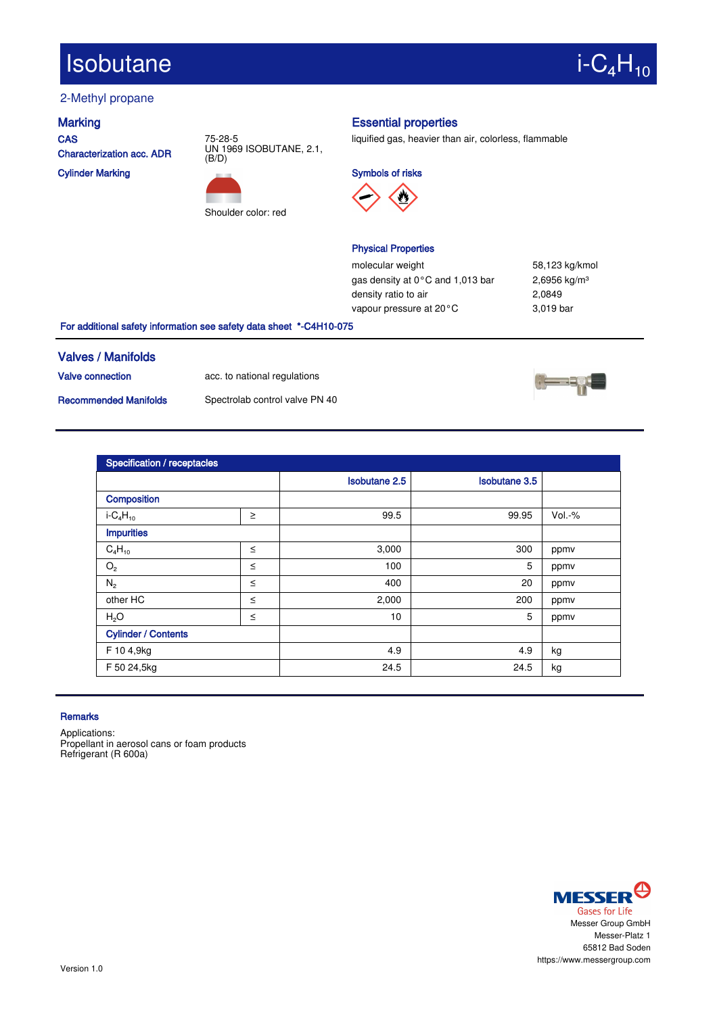# $Isobutane$  i-C<sub>4</sub>H<sub>10</sub>

## 2-Methyl propane

**CAS** Characterization acc. ADR

Cylinder Marking





### Marking **Essential properties**

liquified gas, heavier than air, colorless, flammable

Symbols of risks



### Physical Properties

molecular weight 58,123 kg/kmol gas density at 0°C and 1,013 bar 2,6956 kg/m<sup>3</sup> density ratio to air <br>
2,0849 vapour pressure at 20°C 3,019 bar

For additional safety information see safety data sheet \*-C4H10-075

### Valves / Manifolds

Valve connection acc. to national regulations

Recommended Manifolds Spectrolab control valve PN 40



| Specification / receptacles |        |                      |                      |          |  |
|-----------------------------|--------|----------------------|----------------------|----------|--|
|                             |        | <b>Isobutane 2.5</b> | <b>Isobutane 3.5</b> |          |  |
| Composition                 |        |                      |                      |          |  |
| $i - C_4 H_{10}$            | $\geq$ | 99.5                 | 99.95                | $Vol.-%$ |  |
| <b>Impurities</b>           |        |                      |                      |          |  |
| $C_4H_{10}$                 | $\leq$ | 3,000                | 300                  | ppmv     |  |
| O <sub>2</sub>              | $\leq$ | 100                  | 5                    | ppmv     |  |
| $N_2$                       | $\leq$ | 400                  | 20                   | ppmv     |  |
| other HC                    | $\leq$ | 2,000                | 200                  | ppmv     |  |
| H <sub>2</sub> O            | $\leq$ | 10                   | 5                    | ppmv     |  |
| <b>Cylinder / Contents</b>  |        |                      |                      |          |  |
| F 10 4,9kg                  |        | 4.9                  | 4.9                  | kg       |  |
| F 50 24,5kg                 |        | 24.5                 | 24.5                 | kg       |  |

### **Remarks**

Applications: Propellant in aerosol cans or foam products Refrigerant (R 600a)